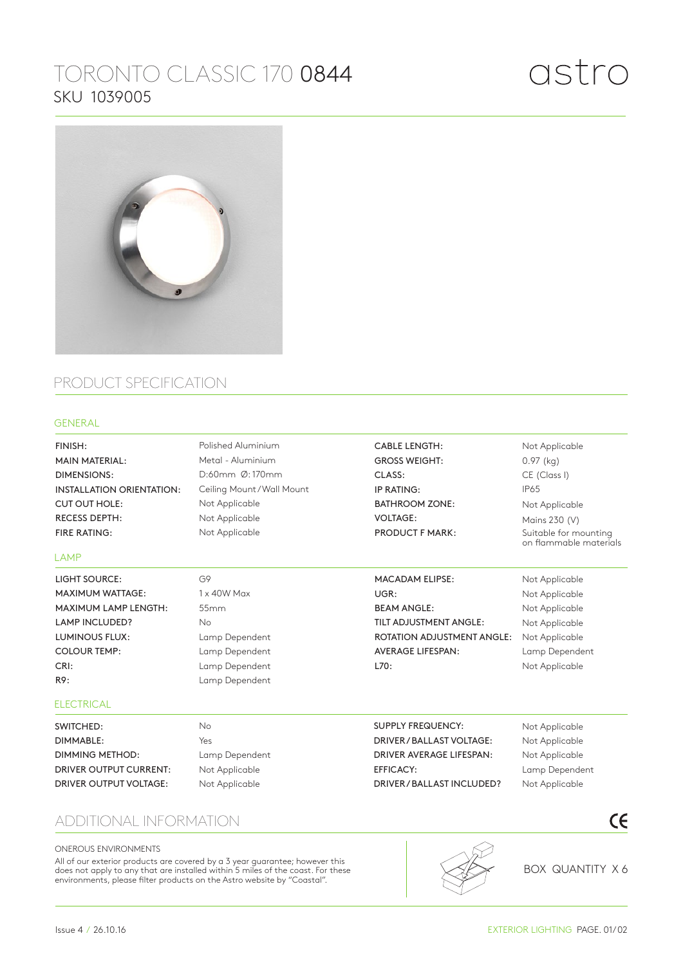# TORONTO CLASSIC 170 0844 SKU 1039005



## PRODUCT SPECIFICATION

### GENERAL

Not Applicable Not Applicable Not Applicable Lamp Dependent Not Applicable Not Applicable Not Applicable Not Applicable Not Applicable Not Applicable Lamp Dependent Not Applicable Not Applicable 0.97 (kg) CE (Class I) IP65 Not Applicable Mains 230 (V) Suitable for mounting on flammable materials G9 1 x 40W Max 55mm No Lamp Dependent Lamp Dependent Lamp Dependent Lamp Dependent No Yes Lamp Dependent Not Applicable Not Applicable Polished Aluminium Metal - Aluminium D:60mm Ø: 170mm Ceiling Mount / Wall Mount Not Applicable Not Applicable Not Applicable FINISH: MAIN MATERIAL: DIMENSIONS: INSTALLATION ORIENTATION: CUT OUT HOLE: RECESS DEPTH: FIRE RATING: CABLE LENGTH: GROSS WEIGHT: CLASS: IP RATING: BATHROOM ZONE: VOLTAGE: PRODUCT F MARK: LIGHT SOURCE: MAXIMUM WATTAGE: MAXIMUM LAMP LENGTH: LAMP INCLUDED? LUMINOUS FLUX: COLOUR TEMP: CRI: R9: MACADAM ELIPSE: UGR: BEAM ANGLE: TILT ADJUSTMENT ANGLE: ROTATION ADJUSTMENT ANGLE: AVERAGE LIFESPAN: L70: SWITCHED: DIMMABLE: DIMMING METHOD: DRIVER OUTPUT CURRENT: DRIVER OUTPUT VOLTAGE: SUPPLY FREQUENCY: DRIVER / BALLAST VOLTAGE: DRIVER AVERAGE LIFESPAN: EFFICACY: DRIVER / BALLAST INCLUDED? LAMP **ELECTRICAL** 

### ADDITIONAL INFORMATION

#### ONEROUS ENVIRONMENTS

All of our exterior products are covered by a 3 year guarantee; however this does not apply to any that are installed within 5 miles of the coast. For these environments, please filter products on the Astro website by "Coastal".



BOX QUANTITY X 6

 $\epsilon$